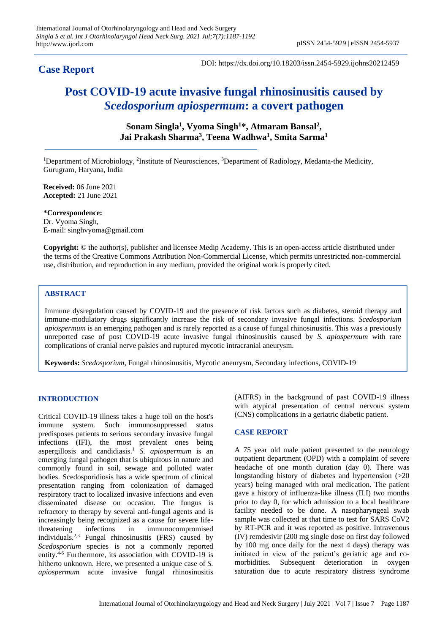# **Case Report**

DOI: https://dx.doi.org/10.18203/issn.2454-5929.ijohns20212459

# **Post COVID-19 acute invasive fungal rhinosinusitis caused by**  *Scedosporium apiospermum***: a covert pathogen**

**Sonam Singla<sup>1</sup> , Vyoma Singh<sup>1</sup>\*, Atmaram Bansal<sup>2</sup> , Jai Prakash Sharma<sup>3</sup> , Teena Wadhwa<sup>1</sup> , Smita Sarma<sup>1</sup>**

<sup>1</sup>Department of Microbiology, <sup>2</sup>Institute of Neurosciences, <sup>3</sup>Department of Radiology, Medanta-the Medicity, Gurugram, Haryana, India

**Received:** 06 June 2021 **Accepted:** 21 June 2021

**\*Correspondence:** Dr. Vyoma Singh, E-mail: singhvyoma@gmail.com

**Copyright:** © the author(s), publisher and licensee Medip Academy. This is an open-access article distributed under the terms of the Creative Commons Attribution Non-Commercial License, which permits unrestricted non-commercial use, distribution, and reproduction in any medium, provided the original work is properly cited.

## **ABSTRACT**

Immune dysregulation caused by COVID-19 and the presence of risk factors such as diabetes, steroid therapy and immune-modulatory drugs significantly increase the risk of secondary invasive fungal infections. *Scedosporium apiospermum* is an emerging pathogen and is rarely reported as a cause of fungal rhinosinusitis. This was a previously unreported case of post COVID-19 acute invasive fungal rhinosinusitis caused by *S. apiospermum* with rare complications of cranial nerve palsies and ruptured mycotic intracranial aneurysm.

**Keywords:** *Scedosporium*, Fungal rhinosinusitis, Mycotic aneurysm, Secondary infections, COVID-19

### **INTRODUCTION**

Critical COVID-19 illness takes a huge toll on the host's immune system. Such immunosuppressed status predisposes patients to serious secondary invasive fungal infections (IFI), the most prevalent ones being aspergillosis and candidiasis.<sup>1</sup> *S. apiospermum* is an emerging fungal pathogen that is ubiquitous in nature and commonly found in soil, sewage and polluted water bodies. Scedosporidiosis has a wide spectrum of clinical presentation ranging from colonization of damaged respiratory tract to localized invasive infections and even disseminated disease on occasion. The fungus is refractory to therapy by several anti-fungal agents and is increasingly being recognized as a cause for severe lifethreatening infections in immunocompromised individuals.2,3 Fungal rhinosinusitis (FRS) caused by *Scedosporium* species is not a commonly reported entity.<sup>4-6</sup> Furthermore, its association with COVID-19 is hitherto unknown. Here, we presented a unique case of *S. apiospermum* acute invasive fungal rhinosinusitis (AIFRS) in the background of past COVID-19 illness with atypical presentation of central nervous system (CNS) complications in a geriatric diabetic patient.

### **CASE REPORT**

A 75 year old male patient presented to the neurology outpatient department (OPD) with a complaint of severe headache of one month duration (day 0). There was longstanding history of diabetes and hypertension (>20 years) being managed with oral medication. The patient gave a history of influenza-like illness (ILI) two months prior to day 0, for which admission to a local healthcare facility needed to be done. A nasopharyngeal swab sample was collected at that time to test for SARS CoV2 by RT-PCR and it was reported as positive. Intravenous (IV) remdesivir (200 mg single dose on first day followed by 100 mg once daily for the next 4 days) therapy was initiated in view of the patient's geriatric age and comorbidities. Subsequent deterioration in oxygen saturation due to acute respiratory distress syndrome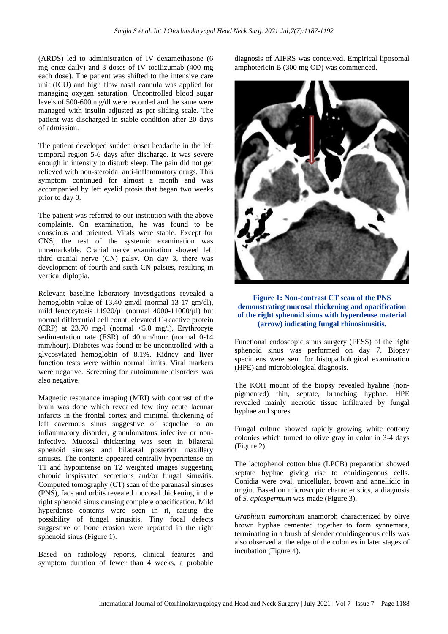(ARDS) led to administration of IV dexamethasone (6 mg once daily) and 3 doses of IV tocilizumab (400 mg each dose). The patient was shifted to the intensive care unit (ICU) and high flow nasal cannula was applied for managing oxygen saturation. Uncontrolled blood sugar levels of 500-600 mg/dl were recorded and the same were managed with insulin adjusted as per sliding scale. The patient was discharged in stable condition after 20 days of admission.

The patient developed sudden onset headache in the left temporal region 5-6 days after discharge. It was severe enough in intensity to disturb sleep. The pain did not get relieved with non-steroidal anti-inflammatory drugs. This symptom continued for almost a month and was accompanied by left eyelid ptosis that began two weeks prior to day 0.

The patient was referred to our institution with the above complaints. On examination, he was found to be conscious and oriented. Vitals were stable. Except for CNS, the rest of the systemic examination was unremarkable. Cranial nerve examination showed left third cranial nerve (CN) palsy. On day 3, there was development of fourth and sixth CN palsies, resulting in vertical diplopia.

Relevant baseline laboratory investigations revealed a hemoglobin value of 13.40 gm/dl (normal 13-17 gm/dl), mild leucocytosis  $11920/\mu$ l (normal 4000-11000/ $\mu$ l) but normal differential cell count, elevated C-reactive protein (CRP) at  $23.70 \text{ mg/l}$  (normal  $\lt 5.0 \text{ mg/l}$ ), Erythrocyte sedimentation rate (ESR) of 40mm/hour (normal 0-14 mm/hour). Diabetes was found to be uncontrolled with a glycosylated hemoglobin of 8.1%. Kidney and liver function tests were within normal limits. Viral markers were negative. Screening for autoimmune disorders was also negative.

Magnetic resonance imaging (MRI) with contrast of the brain was done which revealed few tiny acute lacunar infarcts in the frontal cortex and minimal thickening of left cavernous sinus suggestive of sequelae to an inflammatory disorder, granulomatous infective or noninfective. Mucosal thickening was seen in bilateral sphenoid sinuses and bilateral posterior maxillary sinuses. The contents appeared centrally hyperintense on T1 and hypointense on T2 weighted images suggesting chronic inspissated secretions and/or fungal sinusitis. Computed tomography (CT) scan of the paranasal sinuses (PNS), face and orbits revealed mucosal thickening in the right sphenoid sinus causing complete opacification. Mild hyperdense contents were seen in it, raising the possibility of fungal sinusitis. Tiny focal defects suggestive of bone erosion were reported in the right sphenoid sinus (Figure 1).

Based on radiology reports, clinical features and symptom duration of fewer than 4 weeks, a probable diagnosis of AIFRS was conceived. Empirical liposomal amphotericin B (300 mg OD) was commenced.



#### **Figure 1: Non-contrast CT scan of the PNS demonstrating mucosal thickening and opacification of the right sphenoid sinus with hyperdense material (arrow) indicating fungal rhinosinusitis.**

Functional endoscopic sinus surgery (FESS) of the right sphenoid sinus was performed on day 7. Biopsy specimens were sent for histopathological examination (HPE) and microbiological diagnosis.

The KOH mount of the biopsy revealed hyaline (nonpigmented) thin, septate, branching hyphae. HPE revealed mainly necrotic tissue infiltrated by fungal hyphae and spores.

Fungal culture showed rapidly growing white cottony colonies which turned to olive gray in color in 3-4 days (Figure 2).

The lactophenol cotton blue (LPCB) preparation showed septate hyphae giving rise to conidiogenous cells. Conidia were oval, unicellular, brown and annellidic in origin. Based on microscopic characteristics, a diagnosis of *S. apiospermum* was made (Figure 3).

*Graphium eumorphum* anamorph characterized by olive brown hyphae cemented together to form synnemata, terminating in a brush of slender conidiogenous cells was also observed at the edge of the colonies in later stages of incubation (Figure 4).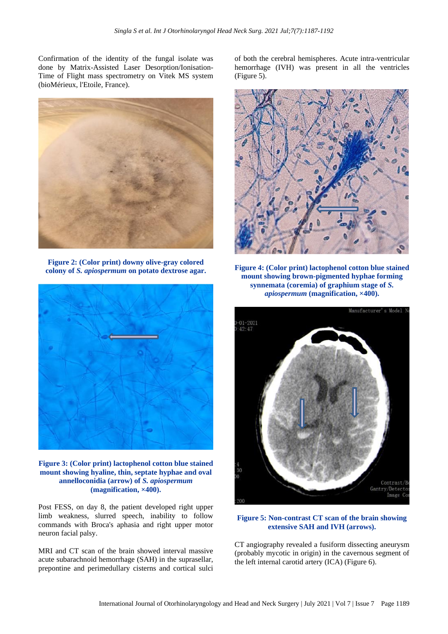Confirmation of the identity of the fungal isolate was done by Matrix-Assisted Laser Desorption/Ionisation-Time of Flight mass spectrometry on Vitek MS system (bioMérieux, l'Etoile, France).



**Figure 2: (Color print) downy olive-gray colored colony of** *S. apiospermum* **on potato dextrose agar.**



**Figure 3: (Color print) lactophenol cotton blue stained mount showing hyaline, thin, septate hyphae and oval annelloconidia (arrow) of** *S. apiospermum* **(magnification, ×400).**

Post FESS, on day 8, the patient developed right upper limb weakness, slurred speech, inability to follow commands with Broca's aphasia and right upper motor neuron facial palsy.

MRI and CT scan of the brain showed interval massive acute subarachnoid hemorrhage (SAH) in the suprasellar, prepontine and perimedullary cisterns and cortical sulci of both the cerebral hemispheres. Acute intra-ventricular hemorrhage (IVH) was present in all the ventricles (Figure 5).



**Figure 4: (Color print) lactophenol cotton blue stained mount showing brown-pigmented hyphae forming synnemata (coremia) of graphium stage of** *S. apiospermum* **(magnification, ×400).**



**Figure 5: Non-contrast CT scan of the brain showing extensive SAH and IVH (arrows).**

CT angiography revealed a fusiform dissecting aneurysm (probably mycotic in origin) in the cavernous segment of the left internal carotid artery (ICA) (Figure 6).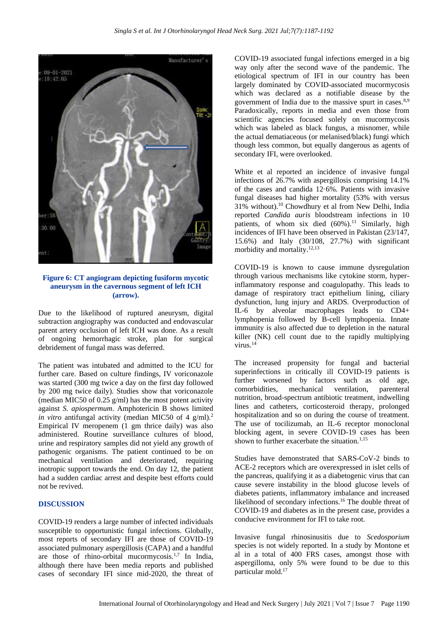

**Figure 6: CT angiogram depicting fusiform mycotic aneurysm in the cavernous segment of left ICH (arrow).**

Due to the likelihood of ruptured aneurysm, digital subtraction angiography was conducted and endovascular parent artery occlusion of left ICH was done. As a result of ongoing hemorrhagic stroke, plan for surgical debridement of fungal mass was deferred.

The patient was intubated and admitted to the ICU for further care. Based on culture findings, IV voriconazole was started (300 mg twice a day on the first day followed by 200 mg twice daily). Studies show that voriconazole (median MIC50 of 0.25 g/ml) has the most potent activity against *S. apiospermum*. Amphotericin B shows limited *in vitro* antifungal activity (median MIC50 of 4 g/ml).<sup>2</sup> Empirical IV meropenem (1 gm thrice daily) was also administered. Routine surveillance cultures of blood, urine and respiratory samples did not yield any growth of pathogenic organisms. The patient continued to be on mechanical ventilation and deteriorated, requiring inotropic support towards the end. On day 12, the patient had a sudden cardiac arrest and despite best efforts could not be revived.

#### **DISCUSSION**

COVID-19 renders a large number of infected individuals susceptible to opportunistic fungal infections. Globally, most reports of secondary IFI are those of COVID-19 associated pulmonary aspergillosis (CAPA) and a handful are those of rhino-orbital mucormycosis.1,7 In India, although there have been media reports and published cases of secondary IFI since mid-2020, the threat of COVID-19 associated fungal infections emerged in a big way only after the second wave of the pandemic. The etiological spectrum of IFI in our country has been largely dominated by COVID-associated mucormycosis which was declared as a notifiable disease by the government of India due to the massive spurt in cases.8,9 Paradoxically, reports in media and even those from scientific agencies focused solely on mucormycosis which was labeled as black fungus, a misnomer, while the actual dematiaceous (or melanised/black) fungi which though less common, but equally dangerous as agents of secondary IFI, were overlooked.

White et al reported an incidence of invasive fungal infections of 26.7% with aspergillosis comprising 14.1% of the cases and candida 12·6%. Patients with invasive fungal diseases had higher mortality (53% with versus 31% without).<sup>10</sup> Chowdhury et al from New Delhi, India reported *Candida auris* bloodstream infections in 10 patients, of whom six died  $(60\%)$ .<sup>11</sup> Similarly, high incidences of IFI have been observed in Pakistan (23/147, 15.6%) and Italy (30/108, 27.7%) with significant morbidity and mortality.12,13

COVID-19 is known to cause immune dysregulation through various mechanisms like cytokine storm, hyperinflammatory response and coagulopathy. This leads to damage of respiratory tract epithelium lining, ciliary dysfunction, lung injury and ARDS. Overproduction of IL-6 by alveolar macrophages leads to CD4+ lymphopenia followed by B-cell lymphopenia. Innate immunity is also affected due to depletion in the natural killer (NK) cell count due to the rapidly multiplying virus<sup>14</sup>

The increased propensity for fungal and bacterial superinfections in critically ill COVID-19 patients is further worsened by factors such as old age, comorbidities, mechanical ventilation, parenteral nutrition, broad-spectrum antibiotic treatment, indwelling lines and catheters, corticosteroid therapy, prolonged hospitalization and so on during the course of treatment. The use of tocilizumab, an IL-6 receptor monoclonal blocking agent, in severe COVID-19 cases has been shown to further exacerbate the situation. $1,15$ 

Studies have demonstrated that SARS-CoV-2 binds to ACE-2 receptors which are overexpressed in islet cells of the pancreas, qualifying it as a diabetogenic virus that can cause severe instability in the blood glucose levels of diabetes patients, inflammatory imbalance and increased likelihood of secondary infections.<sup>16</sup> The double threat of COVID-19 and diabetes as in the present case, provides a conducive environment for IFI to take root.

Invasive fungal rhinosinusitis due to *Scedosporium* species is not widely reported. In a study by Montone et al in a total of 400 FRS cases, amongst those with aspergilloma, only 5% were found to be due to this particular mold.17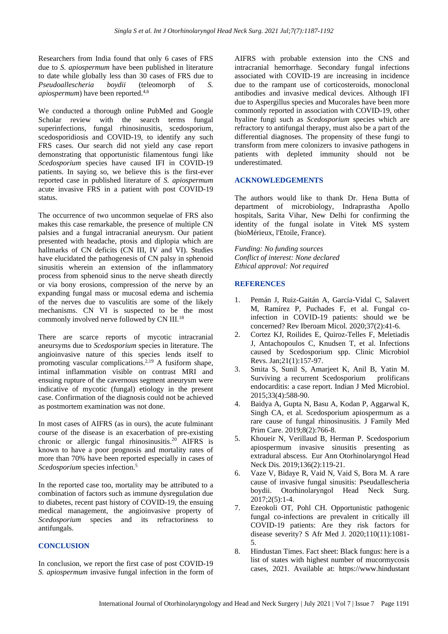Researchers from India found that only 6 cases of FRS due to *S. apiospermum* have been published in literature to date while globally less than 30 cases of FRS due to *Pseudoallescheria boydii* (teleomorph of *S. apiospermum*) have been reported.<sup>4,6</sup>

We conducted a thorough online PubMed and Google Scholar review with the search terms fungal superinfections, fungal rhinosinusitis, scedosporium, scedosporidiosis and COVID-19, to identify any such FRS cases. Our search did not yield any case report demonstrating that opportunistic filamentous fungi like *Scedosporium* species have caused IFI in COVID-19 patients. In saying so, we believe this is the first-ever reported case in published literature of *S. apiospermum* acute invasive FRS in a patient with post COVID-19 status.

The occurrence of two uncommon sequelae of FRS also makes this case remarkable, the presence of multiple CN palsies and a fungal intracranial aneurysm. Our patient presented with headache, ptosis and diplopia which are hallmarks of CN deficits (CN III, IV and VI). Studies have elucidated the pathogenesis of CN palsy in sphenoid sinusitis wherein an extension of the inflammatory process from sphenoid sinus to the nerve sheath directly or via bony erosions, compression of the nerve by an expanding fungal mass or mucosal edema and ischemia of the nerves due to vasculitis are some of the likely mechanisms. CN VI is suspected to be the most commonly involved nerve followed by CN III.<sup>18</sup>

There are scarce reports of mycotic intracranial aneursyms due to *Scedosporium* species in literature. The angioinvasive nature of this species lends itself to promoting vascular complications.2,19 A fusiform shape, intimal inflammation visible on contrast MRI and ensuing rupture of the cavernous segment aneurysm were indicative of mycotic (fungal) etiology in the present case. Confirmation of the diagnosis could not be achieved as postmortem examination was not done.

In most cases of AIFRS (as in ours), the acute fulminant course of the disease is an exacerbation of pre-existing chronic or allergic fungal rhinosinusitis.<sup>20</sup> AIFRS is known to have a poor prognosis and mortality rates of more than 70% have been reported especially in cases of *Scedosporium* species infection.<sup>5</sup>

In the reported case too, mortality may be attributed to a combination of factors such as immune dysregulation due to diabetes, recent past history of COVID-19, the ensuing medical management, the angioinvasive property of *Scedosporium* species and its refractoriness to antifungals.

#### **CONCLUSION**

In conclusion, we report the first case of post COVID-19 *S. apiospermum* invasive fungal infection in the form of AIFRS with probable extension into the CNS and intracranial hemorrhage. Secondary fungal infections associated with COVID-19 are increasing in incidence due to the rampant use of corticosteroids, monoclonal antibodies and invasive medical devices. Although IFI due to Aspergillus species and Mucorales have been more commonly reported in association with COVID-19, other hyaline fungi such as *Scedosporium* species which are refractory to antifungal therapy, must also be a part of the differential diagnoses. The propensity of these fungi to transform from mere colonizers to invasive pathogens in patients with depleted immunity should not be underestimated.

### **ACKNOWLEDGEMENTS**

The authors would like to thank Dr. Hena Butta of department of microbiology, Indraprastha Apollo hospitals, Sarita Vihar, New Delhi for confirming the identity of the fungal isolate in Vitek MS system (bioMérieux, l'Etoile, France).

*Funding: No funding sources Conflict of interest: None declared Ethical approval: Not required*

### **REFERENCES**

- 1. Pemán J, Ruiz-Gaitán A, García-Vidal C, Salavert M, Ramírez P, Puchades F, et al. Fungal coinfection in COVID-19 patients: should we be concerned? Rev Iberoam Micol. 2020;37(2):41-6.
- 2. Cortez KJ, Roilides E, Quiroz-Telles F, Meletiadis J, Antachopoulos C, Knudsen T, et al. Infections caused by Scedosporium spp. Clinic Microbiol Revs. Jan;21(1):157-97.
- 3. Smita S, Sunil S, Amarjeet K, Anil B, Yatin M. Surviving a recurrent Scedosporium prolificans endocarditis: a case report. Indian J Med Microbiol. 2015;33(4):588-90.
- 4. Baidya A, Gupta N, Basu A, Kodan P, Aggarwal K, Singh CA, et al. Scedosporium apiospermum as a rare cause of fungal rhinosinusitis. J Family Med Prim Care. 2019;8(2):766-8.
- 5. Khoueir N, Verillaud B, Herman P. Scedosporium apiospermum invasive sinusitis presenting as extradural abscess. Eur Ann Otorhinolaryngol Head Neck Dis. 2019;136(2):119-21.
- 6. Vaze V, Bidaye R, Vaid N, Vaid S, Bora M. A rare cause of invasive fungal sinusitis: Pseudallescheria boydii. Otorhinolaryngol Head Neck Surg. 2017;2(5):1-4.
- 7. Ezeokoli OT, Pohl CH. Opportunistic pathogenic fungal co-infections are prevalent in critically ill COVID-19 patients: Are they risk factors for disease severity? S Afr Med J. 2020;110(11):1081- 5.
- 8. Hindustan Times. Fact sheet: Black fungus: here is a list of states with highest number of mucormycosis cases, 2021. Available at: https://www.hindustant